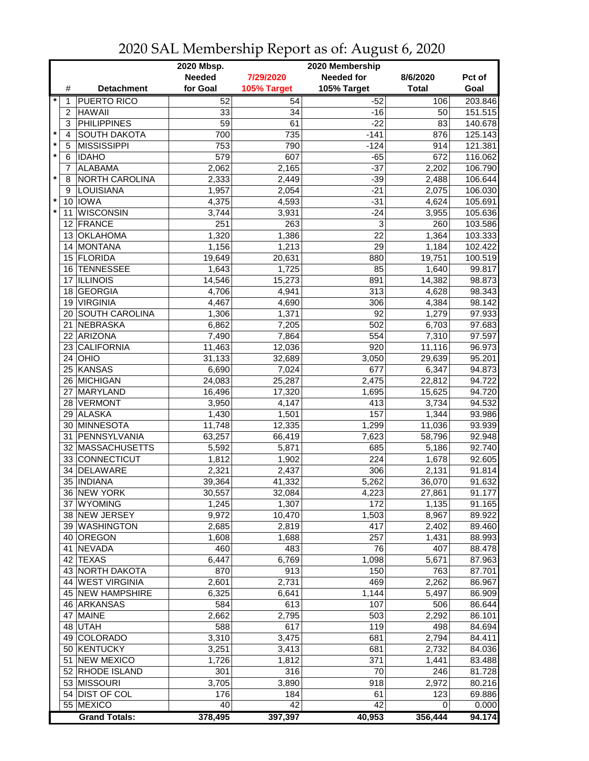|                           |                                  | 2020 Mbsp.<br>2020 Membership |             |                   |              |         |  |
|---------------------------|----------------------------------|-------------------------------|-------------|-------------------|--------------|---------|--|
|                           |                                  | <b>Needed</b>                 | 7/29/2020   | <b>Needed for</b> | 8/6/2020     | Pct of  |  |
|                           | #<br><b>Detachment</b>           | for Goal                      | 105% Target | 105% Target       | <b>Total</b> | Goal    |  |
| $\star$                   | <b>PUERTO RICO</b><br>1          | 52                            | 54          | $-52$             | 106          | 203.846 |  |
| 2                         | <b>HAWAII</b>                    | 33                            | 34          | $-16$             | 50           | 151.515 |  |
| 3                         | <b>PHILIPPINES</b>               | $\overline{59}$               | 61          | $-22$             | 83           | 140.678 |  |
| $\star$<br>$\overline{4}$ | <b>SOUTH DAKOTA</b>              | 700                           | 735         | $-141$            | 876          | 125.143 |  |
| $\star$<br>5              | <b>MISSISSIPPI</b>               | 753                           | 790         | $-124$            | 914          | 121.381 |  |
| $\star$<br>6              | <b>IDAHO</b>                     | 579                           | 607         | $-65$             | 672          | 116.062 |  |
|                           | <b>ALABAMA</b><br>$\overline{7}$ | 2,062                         | 2,165       | $-37$             | 2,202        | 106.790 |  |
| $\star$<br>8              | NORTH CAROLINA                   | 2,333                         | 2,449       | $-39$             | 2,488        | 106.644 |  |
| 9                         | LOUISIANA                        | 1,957                         | 2,054       | $-21$             | 2,075        | 106.030 |  |
| $\star$                   | 10 IOWA                          | 4,375                         | 4,593       | $-31$             | 4,624        | 105.691 |  |
| $\star$                   | <b>WISCONSIN</b><br>11           | 3,744                         | 3,931       | $-24$             | 3,955        | 105.636 |  |
|                           | FRANCE<br>12                     | 251                           | 263         | 3                 | 260          | 103.586 |  |
|                           | <b>OKLAHOMA</b><br>13            | 1,320                         | 1,386       | 22                | 1,364        | 103.333 |  |
|                           | MONTANA<br>14                    | 1,156                         | 1,213       | 29                | 1,184        | 102.422 |  |
|                           | 15 FLORIDA                       | 19,649                        | 20,631      | 880               | 19,751       | 100.519 |  |
|                           | 16 TENNESSEE                     | 1,643                         | 1,725       | 85                | 1,640        | 99.817  |  |
|                           | <b>ILLINOIS</b><br>17            | 14,546                        | 15,273      | 891               | 14,382       | 98.873  |  |
|                           | <b>GEORGIA</b><br>18             | 4,706                         | 4,941       | 313               | 4,628        | 98.343  |  |
|                           | <b>VIRGINIA</b><br>19            | 4,467                         | 4,690       | 306               | 4,384        | 98.142  |  |
|                           | <b>SOUTH CAROLINA</b><br>20      | 1,306                         | 1,371       | 92                | 1,279        | 97.933  |  |
| 21                        | NEBRASKA                         | 6,862                         | 7,205       | 502               | 6,703        | 97.683  |  |
|                           | ARIZONA<br>22                    | 7,490                         | 7,864       | 554               | 7,310        | 97.597  |  |
|                           | CALIFORNIA<br>23                 | 11,463                        | 12,036      | 920               | 11,116       | 96.973  |  |
|                           | $24$ OHIO                        | 31,133                        | 32,689      | 3,050             | 29,639       | 95.201  |  |
|                           | 25 KANSAS                        | 6,690                         | 7,024       | 677               | 6,347        | 94.873  |  |
|                           | 26 MICHIGAN                      | 24,083                        | 25,287      | 2,475             | 22,812       | 94.722  |  |
|                           | MARYLAND<br>27                   | 16,496                        | 17,320      | 1,695             | 15,625       | 94.720  |  |
|                           | 28 VERMONT                       | 3,950                         | 4,147       | 413               | 3,734        | 94.532  |  |
|                           | 29 ALASKA                        | 1,430                         | 1,501       | 157               | 1,344        | 93.986  |  |
|                           | 30 MINNESOTA                     | 11,748                        | 12,335      | 1,299             | 11,036       | 93.939  |  |
| 31                        | PENNSYLVANIA                     | 63,257                        | 66,419      | 7,623             | 58,796       | 92.948  |  |
|                           | 32 MASSACHUSETTS                 | 5,592                         | 5,871       | 685               | 5,186        | 92.740  |  |
|                           | 33 CONNECTICUT                   | 1,812                         | 1,902       | 224               | 1,678        | 92.605  |  |
|                           | DELAWARE<br>34                   | 2,321                         | 2,437       | 306               | 2,131        | 91.814  |  |
|                           | 35   INDIANA                     | 39,364                        | 41,332      | 5,262             | 36,070       | 91.632  |  |
|                           | 36 NEW YORK                      | 30,557                        | 32,084      | 4,223             | 27,861       | 91.177  |  |
|                           | <b>WYOMING</b><br>37             | 1,245                         | 1,307       | 172               | 1,135        | 91.165  |  |
|                           | 38 NEW JERSEY                    | 9,972                         | 10,470      | 1,503             | 8,967        | 89.922  |  |
|                           | 39 WASHINGTON                    | 2,685                         | 2,819       | 417               | 2,402        | 89.460  |  |
|                           | 40 OREGON                        | 1,608                         | 1,688       | 257               | 1,431        | 88.993  |  |
|                           | 41 NEVADA                        | 460                           | 483         | 76                | 407          | 88.478  |  |
|                           | 42 TEXAS                         | 6,447                         | 6,769       | 1,098             | 5,671        | 87.963  |  |
|                           | 43 NORTH DAKOTA                  | 870                           | 913         | 150               | 763          | 87.701  |  |
|                           | 44 WEST VIRGINIA                 | 2,601                         | 2,731       | 469               | 2,262        | 86.967  |  |
|                           | 45 NEW HAMPSHIRE                 | 6,325                         | 6,641       | 1,144             | 5,497        | 86.909  |  |
|                           | 46 ARKANSAS                      | 584                           | 613         | 107               | 506          | 86.644  |  |
|                           | <b>MAINE</b><br>47               | 2,662                         | 2,795       | 503               | 2,292        | 86.101  |  |
|                           | 48 UTAH                          | 588                           | 617         | 119               | 498          | 84.694  |  |
|                           | 49 COLORADO                      | 3,310                         | 3,475       | 681               | 2,794        | 84.411  |  |
|                           | 50 KENTUCKY                      | 3,251                         | 3,413       | 681               | 2,732        | 84.036  |  |
|                           | <b>NEW MEXICO</b><br>51          | 1,726                         | 1,812       | 371               | 1,441        | 83.488  |  |
|                           | 52 RHODE ISLAND                  | 301                           | 316         | 70                | 246          | 81.728  |  |
|                           | 53 MISSOURI                      | 3,705                         | 3,890       | 918               | 2,972        | 80.216  |  |
|                           | 54 DIST OF COL                   | 176                           | 184         | 61                | 123          | 69.886  |  |
|                           | 55 MEXICO                        | 40                            | 42          | 42                | 0            | 0.000   |  |
|                           | <b>Grand Totals:</b>             | 378,495                       | 397,397     | 40,953            | 356,444      | 94.174  |  |

## 2020 SAL Membership Report as of: August 6, 2020